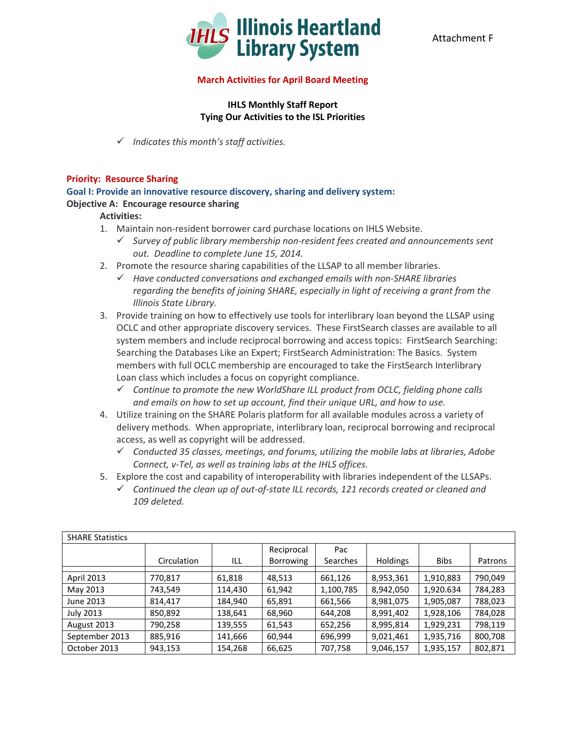

### **March Activities for April Board Meeting**

# **IHLS Monthly Staff Report Tying Our Activities to the ISL Priorities**

*Indicates this month's staff activities.*

### **Priority: Resource Sharing**

**Goal I: Provide an innovative resource discovery, sharing and delivery system: Objective A: Encourage resource sharing**

### **Activities:**

- 1. Maintain non-resident borrower card purchase locations on IHLS Website.
	- *Survey of public library membership non-resident fees created and announcements sent out. Deadline to complete June 15, 2014.*
- 2. Promote the resource sharing capabilities of the LLSAP to all member libraries.
	- *Have conducted conversations and exchanged emails with non-SHARE libraries regarding the benefits of joining SHARE, especially in light of receiving a grant from the Illinois State Library.*
- 3. Provide training on how to effectively use tools for interlibrary loan beyond the LLSAP using OCLC and other appropriate discovery services. These FirstSearch classes are available to all system members and include reciprocal borrowing and access topics: FirstSearch Searching: Searching the Databases Like an Expert; FirstSearch Administration: The Basics. System members with full OCLC membership are encouraged to take the FirstSearch Interlibrary Loan class which includes a focus on copyright compliance.
	- *Continue to promote the new WorldShare ILL product from OCLC, fielding phone calls and emails on how to set up account, find their unique URL, and how to use.*
- 4. Utilize training on the SHARE Polaris platform for all available modules across a variety of delivery methods. When appropriate, interlibrary loan, reciprocal borrowing and reciprocal access, as well as copyright will be addressed.
	- *Conducted 35 classes, meetings, and forums, utilizing the mobile labs at libraries, Adobe Connect, v-Tel, as well as training labs at the IHLS offices.*
- 5. Explore the cost and capability of interoperability with libraries independent of the LLSAPs.
	- *Continued the clean up of out-of-state ILL records, 121 records created or cleaned and 109 deleted.*

| <b>SHARE Statistics</b> |             |         |                                |                 |                 |             |         |
|-------------------------|-------------|---------|--------------------------------|-----------------|-----------------|-------------|---------|
|                         | Circulation | ILL     | Reciprocal<br><b>Borrowing</b> | Pac<br>Searches | <b>Holdings</b> | <b>Bibs</b> | Patrons |
| <b>April 2013</b>       | 770,817     | 61,818  | 48,513                         | 661,126         | 8,953,361       | 1,910,883   | 790.049 |
| May 2013                | 743,549     | 114,430 | 61,942                         | 1,100,785       | 8,942,050       | 1,920.634   | 784,283 |
| June 2013               | 814,417     | 184,940 | 65,891                         | 661,566         | 8,981,075       | 1,905,087   | 788,023 |
| <b>July 2013</b>        | 850,892     | 138,641 | 68,960                         | 644,208         | 8,991,402       | 1,928,106   | 784,028 |
| August 2013             | 790,258     | 139,555 | 61,543                         | 652,256         | 8,995,814       | 1,929,231   | 798,119 |
| September 2013          | 885,916     | 141,666 | 60,944                         | 696,999         | 9,021,461       | 1,935,716   | 800,708 |
| October 2013            | 943,153     | 154,268 | 66,625                         | 707,758         | 9,046,157       | 1,935,157   | 802,871 |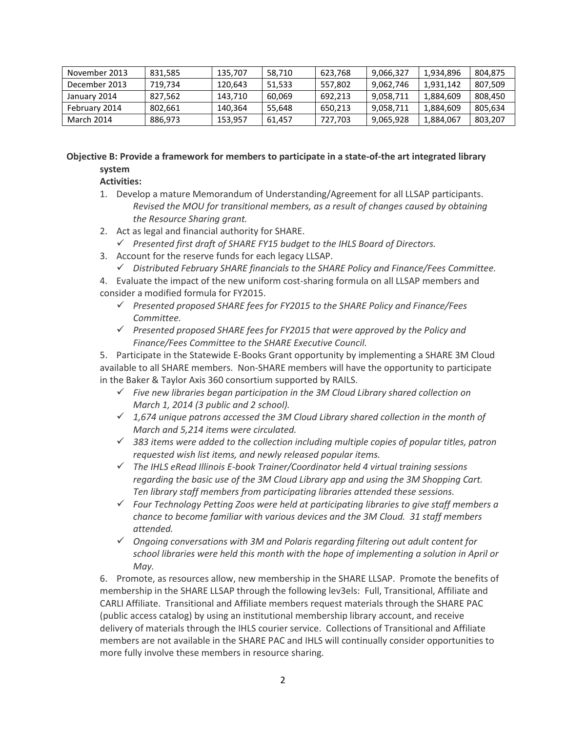| November 2013 | 831.585 | 135.707 | 58.710 | 623.768 | 9.066.327 | 1.934.896 | 804.875 |
|---------------|---------|---------|--------|---------|-----------|-----------|---------|
| December 2013 | 719.734 | 120.643 | 51.533 | 557,802 | 9,062,746 | 1,931,142 | 807.509 |
| January 2014  | 827.562 | 143.710 | 60.069 | 692.213 | 9,058,711 | 1,884,609 | 808.450 |
| February 2014 | 802.661 | 140.364 | 55.648 | 650,213 | 9,058,711 | 1,884,609 | 805.634 |
| March 2014    | 886.973 | 153.957 | 61.457 | 727.703 | 9,065,928 | 1,884,067 | 803.207 |

# **Objective B: Provide a framework for members to participate in a state-of-the art integrated library system**

# **Activities:**

- 1. Develop a mature Memorandum of Understanding/Agreement for all LLSAP participants. *Revised the MOU for transitional members, as a result of changes caused by obtaining the Resource Sharing grant.*
- 2. Act as legal and financial authority for SHARE.
	- *Presented first draft of SHARE FY15 budget to the IHLS Board of Directors.*
- 3. Account for the reserve funds for each legacy LLSAP.
	- *Distributed February SHARE financials to the SHARE Policy and Finance/Fees Committee.*
- 4. Evaluate the impact of the new uniform cost-sharing formula on all LLSAP members and consider a modified formula for FY2015.
	- *Presented proposed SHARE fees for FY2015 to the SHARE Policy and Finance/Fees Committee.*
	- *Presented proposed SHARE fees for FY2015 that were approved by the Policy and Finance/Fees Committee to the SHARE Executive Council.*

5. Participate in the Statewide E-Books Grant opportunity by implementing a SHARE 3M Cloud available to all SHARE members. Non-SHARE members will have the opportunity to participate in the Baker & Taylor Axis 360 consortium supported by RAILS.

- *Five new libraries began participation in the 3M Cloud Library shared collection on March 1, 2014 (3 public and 2 school).*
- *1,674 unique patrons accessed the 3M Cloud Library shared collection in the month of March and 5,214 items were circulated.*
- *383 items were added to the collection including multiple copies of popular titles, patron requested wish list items, and newly released popular items.*
- *The IHLS eRead Illinois E-book Trainer/Coordinator held 4 virtual training sessions regarding the basic use of the 3M Cloud Library app and using the 3M Shopping Cart. Ten library staff members from participating libraries attended these sessions.*
- *Four Technology Petting Zoos were held at participating libraries to give staff members a chance to become familiar with various devices and the 3M Cloud. 31 staff members attended.*
- *Ongoing conversations with 3M and Polaris regarding filtering out adult content for school libraries were held this month with the hope of implementing a solution in April or May.*

6. Promote, as resources allow, new membership in the SHARE LLSAP. Promote the benefits of membership in the SHARE LLSAP through the following lev3els: Full, Transitional, Affiliate and CARLI Affiliate. Transitional and Affiliate members request materials through the SHARE PAC (public access catalog) by using an institutional membership library account, and receive delivery of materials through the IHLS courier service. Collections of Transitional and Affiliate members are not available in the SHARE PAC and IHLS will continually consider opportunities to more fully involve these members in resource sharing.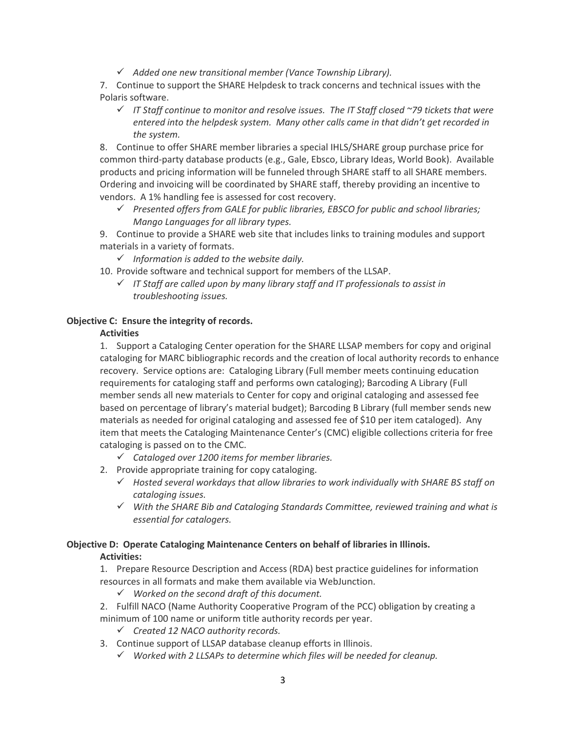*Added one new transitional member (Vance Township Library).*

7. Continue to support the SHARE Helpdesk to track concerns and technical issues with the Polaris software.

 *IT Staff continue to monitor and resolve issues. The IT Staff closed ~79 tickets that were entered into the helpdesk system. Many other calls came in that didn't get recorded in the system.*

8. Continue to offer SHARE member libraries a special IHLS/SHARE group purchase price for common third-party database products (e.g., Gale, Ebsco, Library Ideas, World Book). Available products and pricing information will be funneled through SHARE staff to all SHARE members. Ordering and invoicing will be coordinated by SHARE staff, thereby providing an incentive to vendors. A 1% handling fee is assessed for cost recovery.

 *Presented offers from GALE for public libraries, EBSCO for public and school libraries; Mango Languages for all library types.*

9. Continue to provide a SHARE web site that includes links to training modules and support materials in a variety of formats.

- *Information is added to the website daily.*
- 10. Provide software and technical support for members of the LLSAP.
	- *IT Staff are called upon by many library staff and IT professionals to assist in troubleshooting issues.*

### **Objective C: Ensure the integrity of records.**

### **Activities**

1. Support a Cataloging Center operation for the SHARE LLSAP members for copy and original cataloging for MARC bibliographic records and the creation of local authority records to enhance recovery. Service options are: Cataloging Library (Full member meets continuing education requirements for cataloging staff and performs own cataloging); Barcoding A Library (Full member sends all new materials to Center for copy and original cataloging and assessed fee based on percentage of library's material budget); Barcoding B Library (full member sends new materials as needed for original cataloging and assessed fee of \$10 per item cataloged). Any item that meets the Cataloging Maintenance Center's (CMC) eligible collections criteria for free cataloging is passed on to the CMC.

- *Cataloged over 1200 items for member libraries.*
- 2. Provide appropriate training for copy cataloging.
	- *Hosted several workdays that allow libraries to work individually with SHARE BS staff on cataloging issues.*
	- *With the SHARE Bib and Cataloging Standards Committee, reviewed training and what is essential for catalogers.*

# **Objective D: Operate Cataloging Maintenance Centers on behalf of libraries in Illinois.**

### **Activities:**

1. Prepare Resource Description and Access (RDA) best practice guidelines for information resources in all formats and make them available via WebJunction.

*Worked on the second draft of this document.*

2. Fulfill NACO (Name Authority Cooperative Program of the PCC) obligation by creating a minimum of 100 name or uniform title authority records per year.

- *Created 12 NACO authority records.*
- 3. Continue support of LLSAP database cleanup efforts in Illinois.
	- *Worked with 2 LLSAPs to determine which files will be needed for cleanup.*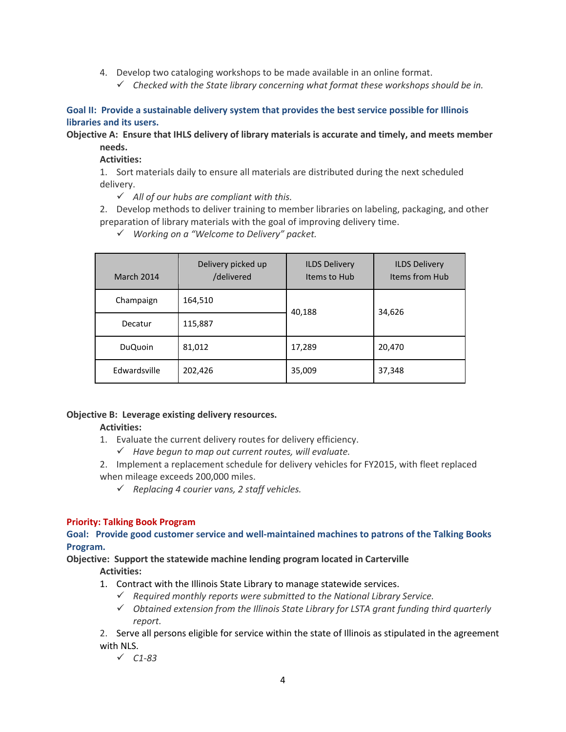- 4. Develop two cataloging workshops to be made available in an online format.
	- *Checked with the State library concerning what format these workshops should be in.*

**Goal II: Provide a sustainable delivery system that provides the best service possible for Illinois libraries and its users.**

**Objective A: Ensure that IHLS delivery of library materials is accurate and timely, and meets member needs.**

# **Activities:**

1. Sort materials daily to ensure all materials are distributed during the next scheduled delivery.

*All of our hubs are compliant with this.*

2. Develop methods to deliver training to member libraries on labeling, packaging, and other preparation of library materials with the goal of improving delivery time.

*Working on a "Welcome to Delivery" packet.*

| March 2014     | Delivery picked up<br>/delivered | <b>ILDS Delivery</b><br>Items to Hub | <b>ILDS Delivery</b><br>Items from Hub |  |
|----------------|----------------------------------|--------------------------------------|----------------------------------------|--|
| Champaign      | 164,510                          | 40,188                               | 34,626                                 |  |
| Decatur        | 115,887                          |                                      |                                        |  |
| <b>DuQuoin</b> | 81,012                           | 17,289                               | 20,470                                 |  |
| Edwardsville   | 202,426                          | 35,009                               | 37,348                                 |  |

# **Objective B: Leverage existing delivery resources.**

# **Activities:**

- 1. Evaluate the current delivery routes for delivery efficiency.
	- *Have begun to map out current routes, will evaluate.*
- 2. Implement a replacement schedule for delivery vehicles for FY2015, with fleet replaced when mileage exceeds 200,000 miles.
	- *Replacing 4 courier vans, 2 staff vehicles.*

### **Priority: Talking Book Program**

**Goal: Provide good customer service and well-maintained machines to patrons of the Talking Books Program.** 

#### **Objective: Support the statewide machine lending program located in Carterville Activities:**

- 1. Contract with the Illinois State Library to manage statewide services.
	- *Required monthly reports were submitted to the National Library Service.*
	- *Obtained extension from the Illinois State Library for LSTA grant funding third quarterly report.*
- 2. Serve all persons eligible for service within the state of Illinois as stipulated in the agreement with NLS.
	- *C1-83*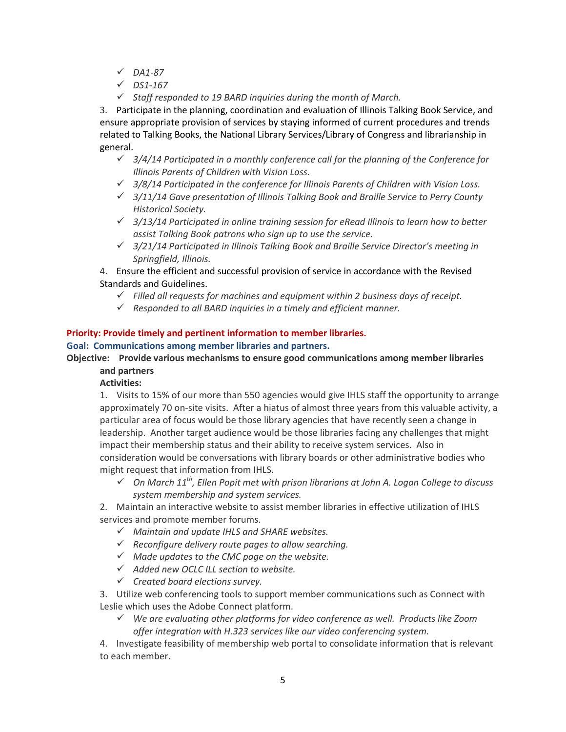- *DA1-87*
- *DS1-167*
- *Staff responded to 19 BARD inquiries during the month of March.*

3. Participate in the planning, coordination and evaluation of Illinois Talking Book Service, and ensure appropriate provision of services by staying informed of current procedures and trends related to Talking Books, the National Library Services/Library of Congress and librarianship in general.

- *3/4/14 Participated in a monthly conference call for the planning of the Conference for Illinois Parents of Children with Vision Loss.*
- *3/8/14 Participated in the conference for Illinois Parents of Children with Vision Loss.*
- *3/11/14 Gave presentation of Illinois Talking Book and Braille Service to Perry County Historical Society.*
- *3/13/14 Participated in online training session for eRead Illinois to learn how to better assist Talking Book patrons who sign up to use the service.*
- *3/21/14 Participated in Illinois Talking Book and Braille Service Director's meeting in Springfield, Illinois.*

4. Ensure the efficient and successful provision of service in accordance with the Revised Standards and Guidelines.

- *Filled all requests for machines and equipment within 2 business days of receipt.*
- *Responded to all BARD inquiries in a timely and efficient manner.*

### **Priority: Provide timely and pertinent information to member libraries.**

**Goal: Communications among member libraries and partners.**

**Objective: Provide various mechanisms to ensure good communications among member libraries and partners**

### **Activities:**

1. Visits to 15% of our more than 550 agencies would give IHLS staff the opportunity to arrange approximately 70 on-site visits. After a hiatus of almost three years from this valuable activity, a particular area of focus would be those library agencies that have recently seen a change in leadership. Another target audience would be those libraries facing any challenges that might impact their membership status and their ability to receive system services. Also in consideration would be conversations with library boards or other administrative bodies who might request that information from IHLS.

 $\checkmark$  On March 11<sup>th</sup>, Ellen Popit met with prison librarians at John A. Logan College to discuss *system membership and system services.*

2. Maintain an interactive website to assist member libraries in effective utilization of IHLS services and promote member forums.

- *Maintain and update IHLS and SHARE websites.*
- *Reconfigure delivery route pages to allow searching.*
- *Made updates to the CMC page on the website.*
- *Added new OCLC ILL section to website.*
- *Created board elections survey.*

3. Utilize web conferencing tools to support member communications such as Connect with Leslie which uses the Adobe Connect platform.

 *We are evaluating other platforms for video conference as well. Products like Zoom offer integration with H.323 services like our video conferencing system.*

4. Investigate feasibility of membership web portal to consolidate information that is relevant to each member.